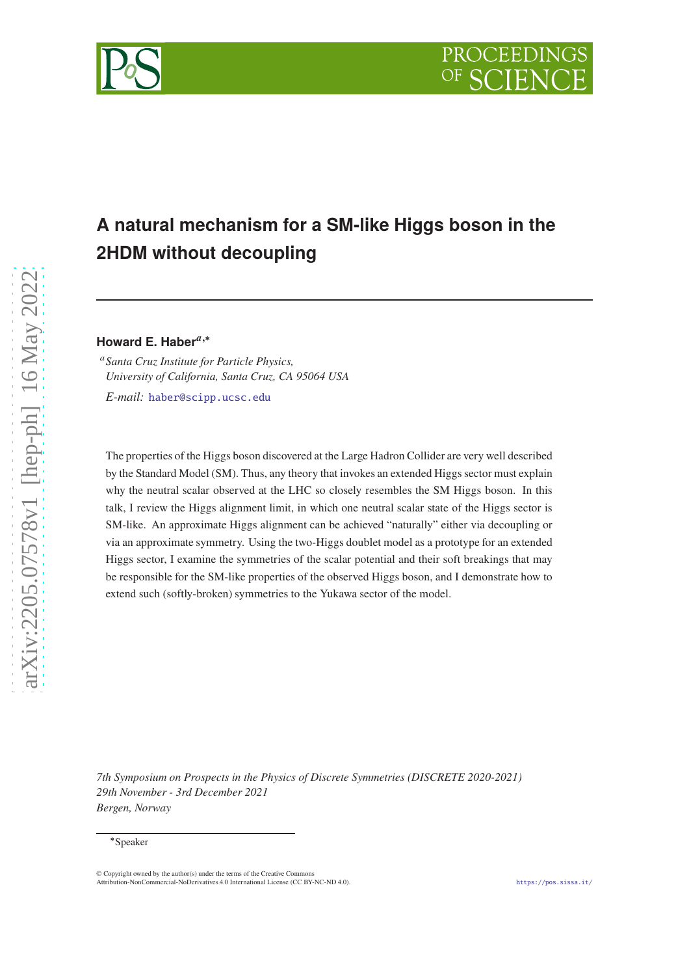



# **A natural mechanism for a SM-like Higgs boson in the 2HDM without decoupling**

Howard E. Haber<sup>a,\*</sup>

<sup>𝑎</sup>*Santa Cruz Institute for Particle Physics, University of California, Santa Cruz, CA 95064 USA*

*E-mail:* [haber@scipp.ucsc.edu](mailto:haber@scipp.ucsc.edu)

The properties of the Higgs boson discovered at the Large Hadron Collider are very well described by the Standard Model (SM). Thus, any theory that invokes an extended Higgs sector must explain why the neutral scalar observed at the LHC so closely resembles the SM Higgs boson. In this talk, I review the Higgs alignment limit, in which one neutral scalar state of the Higgs sector is SM-like. An approximate Higgs alignment can be achieved "naturally" either via decoupling or via an approximate symmetry. Using the two-Higgs doublet model as a prototype for an extended Higgs sector, I examine the symmetries of the scalar potential and their soft breakings that may be responsible for the SM-like properties of the observed Higgs boson, and I demonstrate how to extend such (softly-broken) symmetries to the Yukawa sector of the model.

*7th Symposium on Prospects in the Physics of Discrete Symmetries (DISCRETE 2020-2021) 29th November - 3rd December 2021 Bergen, Norway*

<sup>∗</sup>Speaker

<sup>©</sup> Copyright owned by the author(s) under the terms of the Creative Commons Attribution-NonCommercial-NoDerivatives 4.0 International License (CC BY-NC-ND 4.0). <https://pos.sissa.it/>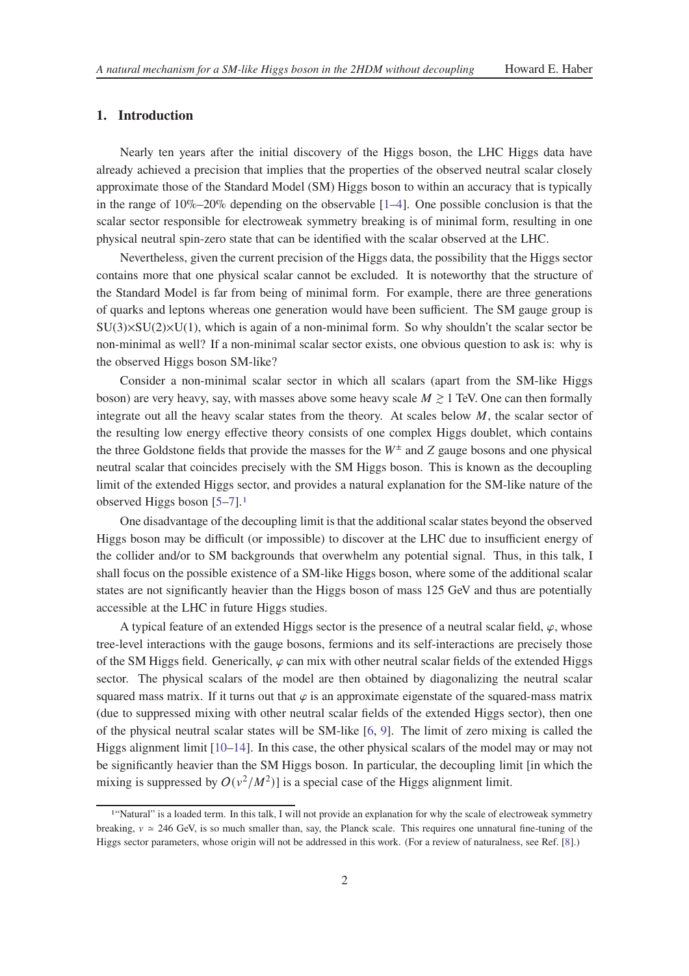## **1. Introduction**

Nearly ten years after the initial discovery of the Higgs boson, the LHC Higgs data have already achieved a precision that implies that the properties of the observed neutral scalar closely approximate those of the Standard Model (SM) Higgs boson to within an accuracy that is typically in the range of  $10\%$ –20% depending on the observable  $[1–4]$  $[1–4]$ . One possible conclusion is that the scalar sector responsible for electroweak symmetry breaking is of minimal form, resulting in one physical neutral spin-zero state that can be identified with the scalar observed at the LHC.

Nevertheless, given the current precision of the Higgs data, the possibility that the Higgs sector contains more that one physical scalar cannot be excluded. It is noteworthy that the structure of the Standard Model is far from being of minimal form. For example, there are three generations of quarks and leptons whereas one generation would have been sufficient. The SM gauge group is  $SU(3)\times SU(2)\times U(1)$ , which is again of a non-minimal form. So why shouldn't the scalar sector be non-minimal as well? If a non-minimal scalar sector exists, one obvious question to ask is: why is the observed Higgs boson SM-like?

Consider a non-minimal scalar sector in which all scalars (apart from the SM-like Higgs boson) are very heavy, say, with masses above some heavy scale  $M \ge 1$  TeV. One can then formally integrate out all the heavy scalar states from the theory. At scales below  $M$ , the scalar sector of the resulting low energy effective theory consists of one complex Higgs doublet, which contains the three Goldstone fields that provide the masses for the  $W^{\pm}$  and Z gauge bosons and one physical neutral scalar that coincides precisely with the SM Higgs boson. This is known as the decoupling limit of the extended Higgs sector, and provides a natural explanation for the SM-like nature of the observed Higgs boson [\[5](#page-11-2)[–7\]](#page-11-3).[1](#page-1-0)

One disadvantage of the decoupling limit is that the additional scalar states beyond the observed Higgs boson may be difficult (or impossible) to discover at the LHC due to insufficient energy of the collider and/or to SM backgrounds that overwhelm any potential signal. Thus, in this talk, I shall focus on the possible existence of a SM-like Higgs boson, where some of the additional scalar states are not significantly heavier than the Higgs boson of mass 125 GeV and thus are potentially accessible at the LHC in future Higgs studies.

A typical feature of an extended Higgs sector is the presence of a neutral scalar field,  $\varphi$ , whose tree-level interactions with the gauge bosons, fermions and its self-interactions are precisely those of the SM Higgs field. Generically,  $\varphi$  can mix with other neutral scalar fields of the extended Higgs sector. The physical scalars of the model are then obtained by diagonalizing the neutral scalar squared mass matrix. If it turns out that  $\varphi$  is an approximate eigenstate of the squared-mass matrix (due to suppressed mixing with other neutral scalar fields of the extended Higgs sector), then one of the physical neutral scalar states will be SM-like [\[6,](#page-11-4) [9](#page-11-5)]. The limit of zero mixing is called the Higgs alignment limit  $[10-14]$ . In this case, the other physical scalars of the model may or may not be significantly heavier than the SM Higgs boson. In particular, the decoupling limit [in which the mixing is suppressed by  $O(v^2/M^2)$ ] is a special case of the Higgs alignment limit.

<span id="page-1-0"></span><sup>1</sup>"Natural" is a loaded term. In this talk, I will not provide an explanation for why the scale of electroweak symmetry breaking,  $v \approx 246$  GeV, is so much smaller than, say, the Planck scale. This requires one unnatural fine-tuning of the Higgs sector parameters, whose origin will not be addressed in this work. (For a review of naturalness, see Ref. [\[8](#page-11-8)].)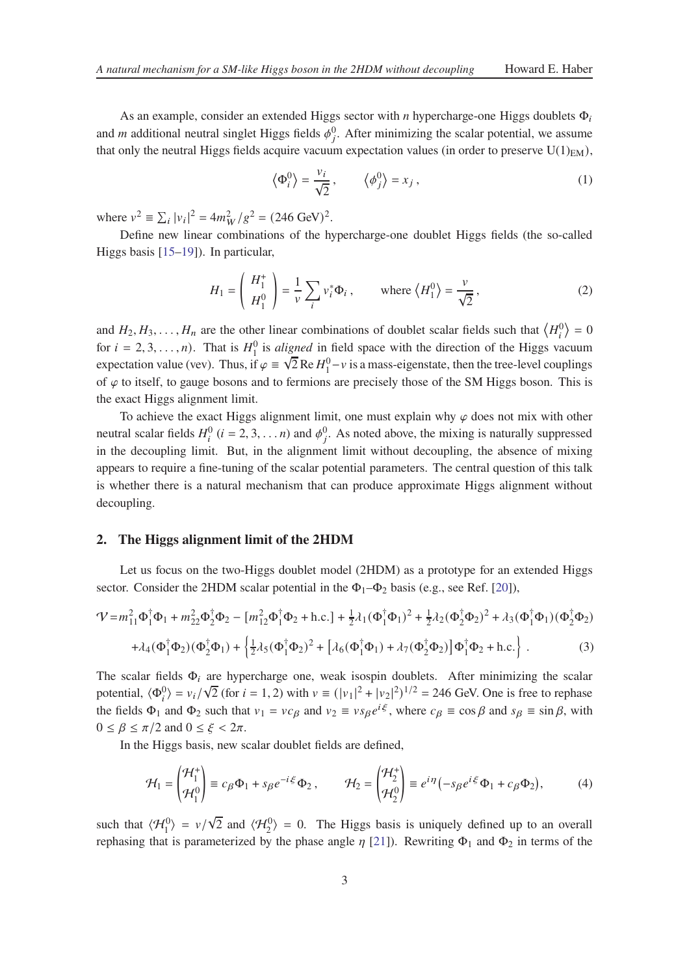As an example, consider an extended Higgs sector with *n* hypercharge-one Higgs doublets  $\Phi_i$ and *m* additional neutral singlet Higgs fields  $\phi_j^0$ . After minimizing the scalar potential, we assume that only the neutral Higgs fields acquire vacuum expectation values (in order to preserve  $U(1)_{EM}$ ),

$$
\left\langle \Phi_i^0 \right\rangle = \frac{v_i}{\sqrt{2}}, \qquad \left\langle \phi_j^0 \right\rangle = x_j, \tag{1}
$$

where  $v^2 \equiv \sum_i |v_i|^2 = 4m_W^2/g^2 = (246 \text{ GeV})^2$ . |

Define new linear combinations of the hypercharge-one doublet Higgs fields (the so-called Higgs basis [\[15](#page-11-9)[–19](#page-11-10)]). In particular,

$$
H_1 = \begin{pmatrix} H_1^+ \\ H_1^0 \end{pmatrix} = \frac{1}{\nu} \sum_i v_i^* \Phi_i , \quad \text{where } \langle H_1^0 \rangle = \frac{\nu}{\sqrt{2}}, \tag{2}
$$

and  $H_2, H_3, \ldots, H_n$  are the other linear combinations of doublet scalar fields such that  $\langle H_i^0 \rangle = 0$ for  $i = 2, 3, ..., n$ ). That is  $H_1^0$  is *aligned* in field space with the direction of the Higgs vacuum expectation value (vev). Thus, if  $\varphi = \sqrt{2}$  Re  $H_1^0 - v$  is a mass-eigenstate, then the tree-level couplings of  $\varphi$  to itself, to gauge bosons and to fermions are precisely those of the SM Higgs boson. This is the exact Higgs alignment limit.

To achieve the exact Higgs alignment limit, one must explain why  $\varphi$  does not mix with other neutral scalar fields  $H_i^0$  ( $i = 2, 3, ..., n$ ) and  $\phi_j^0$ . As noted above, the mixing is naturally suppressed in the decoupling limit. But, in the alignment limit without decoupling, the absence of mixing appears to require a fine-tuning of the scalar potential parameters. The central question of this talk is whether there is a natural mechanism that can produce approximate Higgs alignment without decoupling.

#### **2. The Higgs alignment limit of the 2HDM**

Let us focus on the two-Higgs doublet model (2HDM) as a prototype for an extended Higgs sector. Consider the 2HDM scalar potential in the  $\Phi_1-\Phi_2$  basis (e.g., see Ref. [\[20\]](#page-11-11)),

<span id="page-2-0"></span>
$$
\mathcal{V} = m_{11}^2 \Phi_1^{\dagger} \Phi_1 + m_{22}^2 \Phi_2^{\dagger} \Phi_2 - [m_{12}^2 \Phi_1^{\dagger} \Phi_2 + \text{h.c.}] + \frac{1}{2} \lambda_1 (\Phi_1^{\dagger} \Phi_1)^2 + \frac{1}{2} \lambda_2 (\Phi_2^{\dagger} \Phi_2)^2 + \lambda_3 (\Phi_1^{\dagger} \Phi_1) (\Phi_2^{\dagger} \Phi_2)
$$
  
+  $\lambda_4 (\Phi_1^{\dagger} \Phi_2) (\Phi_2^{\dagger} \Phi_1) + \left\{ \frac{1}{2} \lambda_5 (\Phi_1^{\dagger} \Phi_2)^2 + \left[ \lambda_6 (\Phi_1^{\dagger} \Phi_1) + \lambda_7 (\Phi_2^{\dagger} \Phi_2) \right] \Phi_1^{\dagger} \Phi_2 + \text{h.c.} \right\}.$  (3)

The scalar fields  $\Phi_i$  are hypercharge one, weak isospin doublets. After minimizing the scalar potential,  $\langle \Phi_i^0 \rangle = v_i / \sqrt{2}$  (for  $i = 1, 2$ ) with  $v \equiv (|v_1|^2 + |v_2|^2)^{1/2} = 246$  GeV. One is free to rephase the fields  $\Phi_1$  and  $\Phi_2$  such that  $v_1 = v c_\beta$  and  $v_2 = v s_\beta e^{i\xi}$ , where  $c_\beta = \cos \beta$  and  $s_\beta = \sin \beta$ , with  $0 \leq \beta \leq \pi/2$  and  $0 \leq \xi < 2\pi$ .

In the Higgs basis, new scalar doublet fields are defined,

$$
\mathcal{H}_1 = \begin{pmatrix} \mathcal{H}_1^+ \\ \mathcal{H}_1^0 \end{pmatrix} \equiv c_\beta \Phi_1 + s_\beta e^{-i\xi} \Phi_2, \qquad \mathcal{H}_2 = \begin{pmatrix} \mathcal{H}_2^+ \\ \mathcal{H}_2^0 \end{pmatrix} \equiv e^{i\eta} \left( -s_\beta e^{i\xi} \Phi_1 + c_\beta \Phi_2 \right), \tag{4}
$$

such that  $\langle \mathcal{H}_1^0 \rangle = v/\sqrt{2}$  and  $\langle \mathcal{H}_2^0 \rangle = 0$ . The Higgs basis is uniquely defined up to an overall rephasing that is parameterized by the phase angle  $\eta$  [\[21](#page-12-0)]). Rewriting  $\Phi_1$  and  $\Phi_2$  in terms of the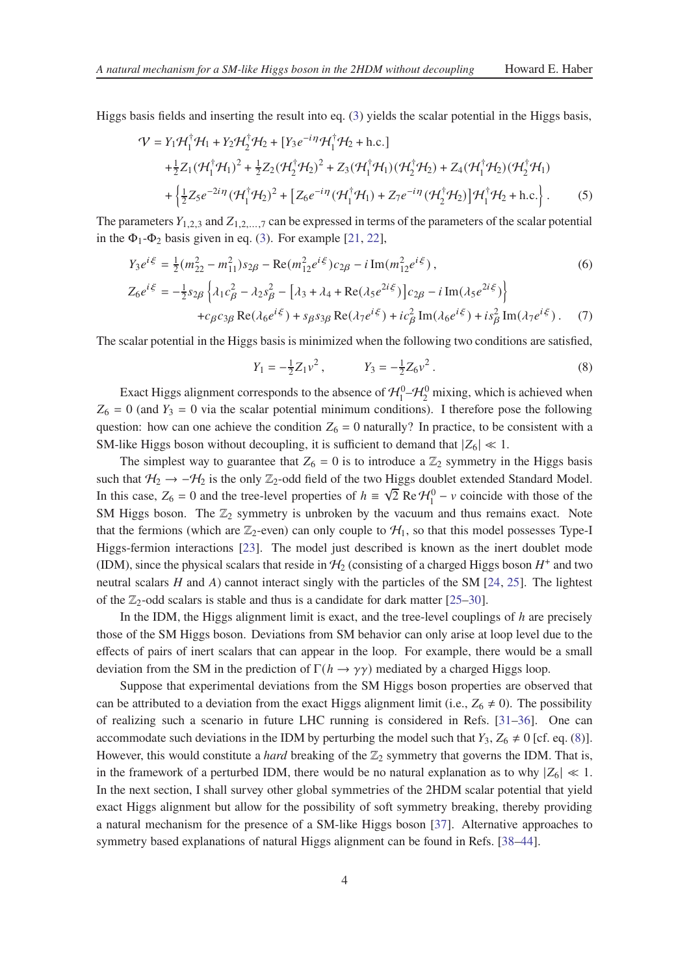Higgs basis fields and inserting the result into eq. [\(3\)](#page-2-0) yields the scalar potential in the Higgs basis,

$$
\mathcal{V} = Y_1 \mathcal{H}_1^{\dagger} \mathcal{H}_1 + Y_2 \mathcal{H}_2^{\dagger} \mathcal{H}_2 + [Y_3 e^{-i\eta} \mathcal{H}_1^{\dagger} \mathcal{H}_2 + \text{h.c.}]
$$
  
+ $\frac{1}{2} Z_1 (\mathcal{H}_1^{\dagger} \mathcal{H}_1)^2 + \frac{1}{2} Z_2 (\mathcal{H}_2^{\dagger} \mathcal{H}_2)^2 + Z_3 (\mathcal{H}_1^{\dagger} \mathcal{H}_1) (\mathcal{H}_2^{\dagger} \mathcal{H}_2) + Z_4 (\mathcal{H}_1^{\dagger} \mathcal{H}_2) (\mathcal{H}_2^{\dagger} \mathcal{H}_1)$   
+ $\left\{ \frac{1}{2} Z_5 e^{-2i\eta} (\mathcal{H}_1^{\dagger} \mathcal{H}_2)^2 + \left[ Z_6 e^{-i\eta} (\mathcal{H}_1^{\dagger} \mathcal{H}_1) + Z_7 e^{-i\eta} (\mathcal{H}_2^{\dagger} \mathcal{H}_2) \right] \mathcal{H}_1^{\dagger} \mathcal{H}_2 + \text{h.c.} \right\}.$  (5)

The parameters  $Y_{1,2,3}$  and  $Z_{1,2,...,7}$  can be expressed in terms of the parameters of the scalar potential in the  $\Phi_1$ - $\Phi_2$  basis given in eq. [\(3\)](#page-2-0). For example [\[21](#page-12-0), [22\]](#page-12-1),

<span id="page-3-1"></span>
$$
Y_{3}e^{i\xi} = \frac{1}{2}(m_{22}^{2} - m_{11}^{2})s_{2\beta} - \text{Re}(m_{12}^{2}e^{i\xi})c_{2\beta} - i\,\text{Im}(m_{12}^{2}e^{i\xi}),
$$
\n
$$
Z_{6}e^{i\xi} = -\frac{1}{2}s_{2\beta}\left\{\lambda_{1}c_{\beta}^{2} - \lambda_{2}s_{\beta}^{2} - \left[\lambda_{3} + \lambda_{4} + \text{Re}(\lambda_{5}e^{2i\xi})\right]c_{2\beta} - i\,\text{Im}(\lambda_{5}e^{2i\xi})\right\}
$$
\n
$$
+c_{\beta}c_{3\beta}\,\text{Re}(\lambda_{6}e^{i\xi}) + s_{\beta}s_{3\beta}\,\text{Re}(\lambda_{7}e^{i\xi}) + ic_{\beta}^{2}\,\text{Im}(\lambda_{6}e^{i\xi}) + is_{\beta}^{2}\,\text{Im}(\lambda_{7}e^{i\xi}).
$$
\n(7)

The scalar potential in the Higgs basis is minimized when the following two conditions are satisfied,

<span id="page-3-0"></span>
$$
Y_1 = -\frac{1}{2}Z_1v^2, \qquad Y_3 = -\frac{1}{2}Z_6v^2. \tag{8}
$$

Exact Higgs alignment corresponds to the absence of  $\mathcal{H}_1^0$   $\mathcal{H}_2^0$  mixing, which is achieved when  $Z_6 = 0$  (and  $Y_3 = 0$  via the scalar potential minimum conditions). I therefore pose the following question: how can one achieve the condition  $Z_6 = 0$  naturally? In practice, to be consistent with a SM-like Higgs boson without decoupling, it is sufficient to demand that  $|Z_6| \ll 1$ .

The simplest way to guarantee that  $Z_6 = 0$  is to introduce a  $\mathbb{Z}_2$  symmetry in the Higgs basis such that  $H_2 \rightarrow -H_2$  is the only  $\mathbb{Z}_2$ -odd field of the two Higgs doublet extended Standard Model. In this case,  $Z_6 = 0$  and the tree-level properties of  $h = \sqrt{2} \text{ Re } H_1^0 - v$  coincide with those of the SM Higgs boson. The  $\mathbb{Z}_2$  symmetry is unbroken by the vacuum and thus remains exact. Note that the fermions (which are  $\mathbb{Z}_2$ -even) can only couple to  $\mathcal{H}_1$ , so that this model possesses Type-I Higgs-fermion interactions [\[23\]](#page-12-2). The model just described is known as the inert doublet mode (IDM), since the physical scalars that reside in  $H_2$  (consisting of a charged Higgs boson  $H^+$  and two neutral scalars  $H$  and  $A$ ) cannot interact singly with the particles of the SM [\[24](#page-12-3), [25\]](#page-12-4). The lightest of the  $\mathbb{Z}_2$ -odd scalars is stable and thus is a candidate for dark matter [\[25](#page-12-4)[–30](#page-12-5)].

In the IDM, the Higgs alignment limit is exact, and the tree-level couplings of  $h$  are precisely those of the SM Higgs boson. Deviations from SM behavior can only arise at loop level due to the effects of pairs of inert scalars that can appear in the loop. For example, there would be a small deviation from the SM in the prediction of  $\Gamma(h \to \gamma\gamma)$  mediated by a charged Higgs loop.

Suppose that experimental deviations from the SM Higgs boson properties are observed that can be attributed to a deviation from the exact Higgs alignment limit (i.e.,  $Z_6 \neq 0$ ). The possibility of realizing such a scenario in future LHC running is considered in Refs. [\[31](#page-12-6)[–36](#page-12-7)]. One can accommodate such deviations in the IDM by perturbing the model such that  $Y_3$ ,  $Z_6 \neq 0$  [cf. eq. [\(8\)](#page-3-0)]. However, this would constitute a *hard* breaking of the  $\mathbb{Z}_2$  symmetry that governs the IDM. That is, in the framework of a perturbed IDM, there would be no natural explanation as to why  $|Z_6| \ll 1$ . In the next section, I shall survey other global symmetries of the 2HDM scalar potential that yield exact Higgs alignment but allow for the possibility of soft symmetry breaking, thereby providing a natural mechanism for the presence of a SM-like Higgs boson [\[37](#page-12-8)]. Alternative approaches to symmetry based explanations of natural Higgs alignment can be found in Refs. [\[38](#page-12-9)[–44\]](#page-13-0).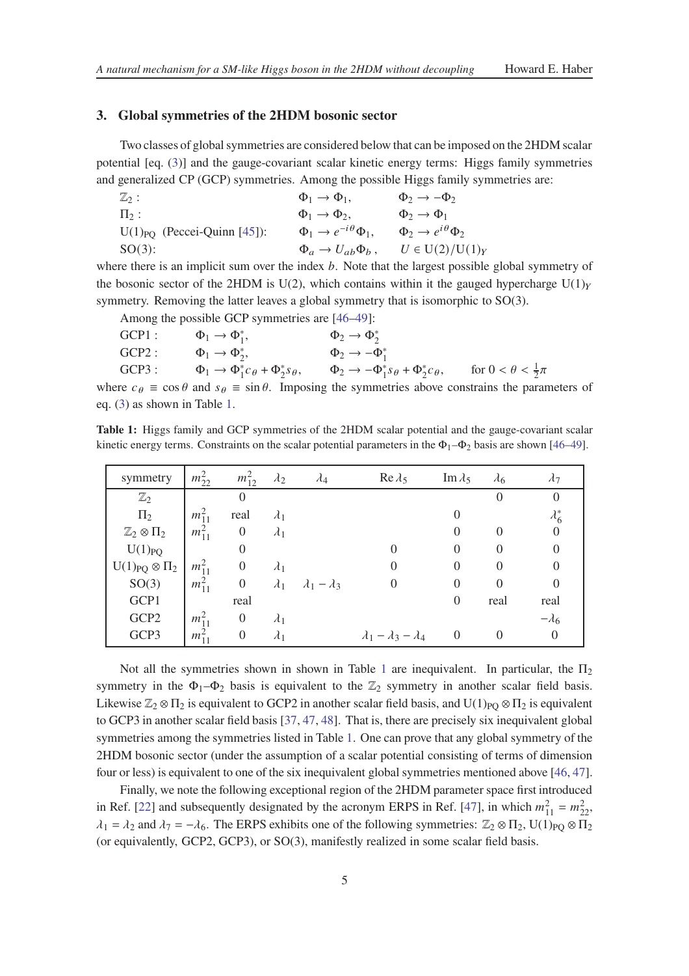### **3. Global symmetries of the 2HDM bosonic sector**

Two classes of global symmetries are considered below that can be imposed on the 2HDM scalar potential [eq. [\(3\)](#page-2-0)] and the gauge-covariant scalar kinetic energy terms: Higgs family symmetries and generalized CP (GCP) symmetries. Among the possible Higgs family symmetries are:

| $\mathbb{Z}_2:$                  | $\Phi_1 \rightarrow \Phi_1$ ,              | $\Phi_2 \rightarrow -\Phi_2$            |
|----------------------------------|--------------------------------------------|-----------------------------------------|
| $\Pi_2$ :                        | $\Phi_1 \rightarrow \Phi_2$ .              | $\Phi_2 \rightarrow \Phi_1$             |
| $U(1)_{PQ}$ (Peccei-Quinn [45]): | $\Phi_1 \rightarrow e^{-i\theta} \Phi_1$ , | $\Phi_2 \rightarrow e^{i\theta} \Phi_2$ |
| $SO(3)$ :                        | $\Phi_a \rightarrow U_{ab} \Phi_b$ ,       | $U \in U(2)/U(1)_Y$                     |

where there is an implicit sum over the index  $b$ . Note that the largest possible global symmetry of the bosonic sector of the 2HDM is U(2), which contains within it the gauged hypercharge U(1) $<sub>V</sub>$ </sub> symmetry. Removing the latter leaves a global symmetry that is isomorphic to SO(3).

Among the possible GCP symmetries are [\[46](#page-13-2)[–49\]](#page-13-3):

| $GCP1$ : | $\Phi_1 \rightarrow \Phi_1^*$ ,                             | $\Phi_2 \rightarrow \Phi_2^*$                                    |                                   |
|----------|-------------------------------------------------------------|------------------------------------------------------------------|-----------------------------------|
| GCP2:    | $\Phi_1 \rightarrow \Phi_2^*$ ,                             | $\Phi_2 \rightarrow -\Phi_1^*$                                   |                                   |
| GCP3:    | $\Phi_1 \rightarrow \Phi_1^* c_\theta + \Phi_2^* s_\theta,$ | $\Phi_2 \rightarrow -\Phi_1^* s_{\theta} + \Phi_2^* c_{\theta},$ | for $0 < \theta < \frac{1}{2}\pi$ |
|          |                                                             |                                                                  |                                   |

<span id="page-4-0"></span>where  $c_{\theta} \equiv \cos \theta$  and  $s_{\theta} \equiv \sin \theta$ . Imposing the symmetries above constrains the parameters of eq. [\(3\)](#page-2-0) as shown in Table [1.](#page-4-0)

**Table 1:** Higgs family and GCP symmetries of the 2HDM scalar potential and the gauge-covariant scalar kinetic energy terms. Constraints on the scalar potential parameters in the  $\Phi_1-\Phi_2$  basis are shown [\[46](#page-13-2)[–49\]](#page-13-3).

| symmetry                     | $m_{22}^2$ | $m_{12}^2$       | $\lambda_2$ | $\lambda_4$                           | $\text{Re}\,\lambda_5$              | Im $\lambda_5$ | $\lambda_6$ | $\lambda_7$   |
|------------------------------|------------|------------------|-------------|---------------------------------------|-------------------------------------|----------------|-------------|---------------|
| $\mathbb{Z}_2$               |            | $\theta$         |             |                                       |                                     |                |             | $\Omega$      |
| $\Pi_2$                      | $m_{11}^2$ | real             | $\lambda_1$ |                                       |                                     |                |             | $\lambda_6^*$ |
| $\mathbb{Z}_2 \otimes \Pi_2$ | $m_{11}^2$ | $\boldsymbol{0}$ | $\lambda_1$ |                                       |                                     | $\theta$       |             | $\theta$      |
| $U(1)_{PQ}$                  |            | $\boldsymbol{0}$ |             |                                       |                                     | 0              |             |               |
| $U(1)_{PQ} \otimes \Pi_2$    | $m_{11}^2$ | $\boldsymbol{0}$ | $\lambda_1$ |                                       |                                     | $\theta$       |             |               |
| SO(3)                        | $m_{11}^2$ | $\boldsymbol{0}$ |             | $\lambda_1$ $\lambda_1$ – $\lambda_3$ | $\overline{0}$                      | 0              |             |               |
| GCP1                         |            | real             |             |                                       |                                     | $\theta$       | real        | real          |
| GCP <sub>2</sub>             | $m_{11}^2$ | $\overline{0}$   | $\lambda_1$ |                                       |                                     |                |             | $-\lambda_6$  |
| GCP3                         | $m_{11}^2$ | $\overline{0}$   | $\lambda_1$ |                                       | $\lambda_1 - \lambda_3 - \lambda_4$ | $\overline{0}$ |             | $\theta$      |

Not all the symmetries shown in shown in Table [1](#page-4-0) are inequivalent. In particular, the  $\Pi_2$ symmetry in the  $\Phi_1-\Phi_2$  basis is equivalent to the  $\mathbb{Z}_2$  symmetry in another scalar field basis. Likewise  $\mathbb{Z}_2 \otimes \Pi_2$  is equivalent to GCP2 in another scalar field basis, and U(1)<sub>PO</sub>  $\otimes \Pi_2$  is equivalent to GCP3 in another scalar field basis [\[37](#page-12-8), [47](#page-13-4), [48](#page-13-5)]. That is, there are precisely six inequivalent global symmetries among the symmetries listed in Table [1.](#page-4-0) One can prove that any global symmetry of the 2HDM bosonic sector (under the assumption of a scalar potential consisting of terms of dimension four or less) is equivalent to one of the six inequivalent global symmetries mentioned above [\[46,](#page-13-2) [47](#page-13-4)].

Finally, we note the following exceptional region of the 2HDM parameter space first introduced in Ref. [\[22](#page-12-1)] and subsequently designated by the acronym ERPS in Ref. [\[47\]](#page-13-4), in which  $m_{11}^2 = m_{22}^2$ ,  $\lambda_1 = \lambda_2$  and  $\lambda_7 = -\lambda_6$ . The ERPS exhibits one of the following symmetries:  $\mathbb{Z}_2 \otimes \Pi_2$ , U(1)<sub>PO</sub>  $\otimes \Pi_2$ (or equivalently, GCP2, GCP3), or SO(3), manifestly realized in some scalar field basis.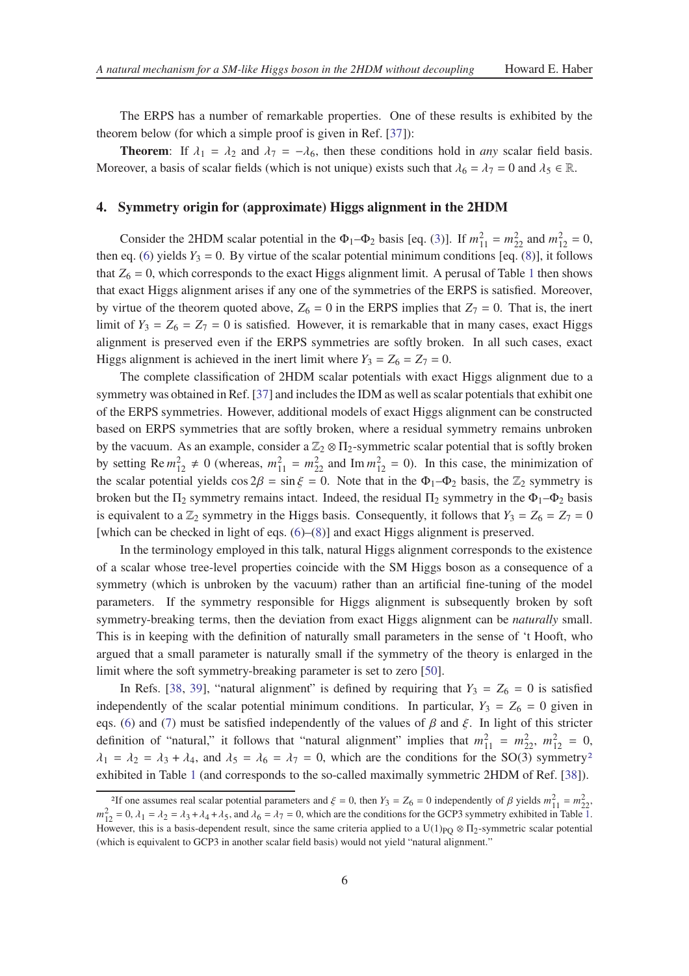The ERPS has a number of remarkable properties. One of these results is exhibited by the theorem below (for which a simple proof is given in Ref. [\[37\]](#page-12-8)):

**Theorem:** If  $\lambda_1 = \lambda_2$  and  $\lambda_7 = -\lambda_6$ , then these conditions hold in *any* scalar field basis. Moreover, a basis of scalar fields (which is not unique) exists such that  $\lambda_6 = \lambda_7 = 0$  and  $\lambda_5 \in \mathbb{R}$ .

#### **4. Symmetry origin for (approximate) Higgs alignment in the 2HDM**

Consider the 2HDM scalar potential in the  $\Phi_1 - \Phi_2$  basis [eq. [\(3\)](#page-2-0)]. If  $m_{11}^2 = m_{22}^2$  and  $m_{12}^2 = 0$ , then eq. [\(6\)](#page-3-1) yields  $Y_3 = 0$ . By virtue of the scalar potential minimum conditions [eq. [\(8\)](#page-3-0)], it follows that  $Z_6 = 0$ , which corresponds to the exact Higgs alignment limit. A perusal of Table [1](#page-4-0) then shows that exact Higgs alignment arises if any one of the symmetries of the ERPS is satisfied. Moreover, by virtue of the theorem quoted above,  $Z_6 = 0$  in the ERPS implies that  $Z_7 = 0$ . That is, the inert limit of  $Y_3 = Z_6 = Z_7 = 0$  is satisfied. However, it is remarkable that in many cases, exact Higgs alignment is preserved even if the ERPS symmetries are softly broken. In all such cases, exact Higgs alignment is achieved in the inert limit where  $Y_3 = Z_6 = Z_7 = 0$ .

The complete classification of 2HDM scalar potentials with exact Higgs alignment due to a symmetry was obtained in Ref. [\[37](#page-12-8)] and includes the IDM as well as scalar potentials that exhibit one of the ERPS symmetries. However, additional models of exact Higgs alignment can be constructed based on ERPS symmetries that are softly broken, where a residual symmetry remains unbroken by the vacuum. As an example, consider a  $\mathbb{Z}_2 \otimes \Pi_2$ -symmetric scalar potential that is softly broken by setting  $\text{Re } m_{12}^2 \neq 0$  (whereas,  $m_{11}^2 = m_{22}^2$  and  $\text{Im } m_{12}^2 = 0$ ). In this case, the minimization of the scalar potential yields  $\cos 2\beta = \sin \xi = 0$ . Note that in the  $\Phi_1 - \Phi_2$  basis, the  $\mathbb{Z}_2$  symmetry is broken but the  $\Pi_2$  symmetry remains intact. Indeed, the residual  $\Pi_2$  symmetry in the  $\Phi_1-\Phi_2$  basis is equivalent to a  $\mathbb{Z}_2$  symmetry in the Higgs basis. Consequently, it follows that  $Y_3 = Z_6 = Z_7 = 0$ [which can be checked in light of eqs. [\(6\)](#page-3-1)–[\(8\)](#page-3-0)] and exact Higgs alignment is preserved.

In the terminology employed in this talk, natural Higgs alignment corresponds to the existence of a scalar whose tree-level properties coincide with the SM Higgs boson as a consequence of a symmetry (which is unbroken by the vacuum) rather than an artificial fine-tuning of the model parameters. If the symmetry responsible for Higgs alignment is subsequently broken by soft symmetry-breaking terms, then the deviation from exact Higgs alignment can be *naturally* small. This is in keeping with the definition of naturally small parameters in the sense of 't Hooft, who argued that a small parameter is naturally small if the symmetry of the theory is enlarged in the limit where the soft symmetry-breaking parameter is set to zero [\[50\]](#page-13-6).

In Refs. [\[38](#page-12-9), [39\]](#page-12-10), "natural alignment" is defined by requiring that  $Y_3 = Z_6 = 0$  is satisfied independently of the scalar potential minimum conditions. In particular,  $Y_3 = Z_6 = 0$  given in eqs. [\(6\)](#page-3-1) and [\(7\)](#page-3-1) must be satisfied independently of the values of  $\beta$  and  $\xi$ . In light of this stricter definition of "natural," it follows that "natural alignment" implies that  $m_{11}^2 = m_{22}^2$ ,  $m_{12}^2 = 0$ ,  $\lambda_1 = \lambda_2 = \lambda_3 + \lambda_4$  $\lambda_1 = \lambda_2 = \lambda_3 + \lambda_4$  $\lambda_1 = \lambda_2 = \lambda_3 + \lambda_4$ , and  $\lambda_5 = \lambda_6 = \lambda_7 = 0$ , which are the conditions for the SO(3) symmetry<sup>2</sup> exhibited in Table [1](#page-4-0) (and corresponds to the so-called maximally symmetric 2HDM of Ref. [\[38\]](#page-12-9)).

<span id="page-5-0"></span><sup>&</sup>lt;sup>2</sup>If one assumes real scalar potential parameters and  $\xi = 0$ , then  $Y_3 = Z_6 = 0$  independently of  $\beta$  yields  $m_{11}^2 = m_{22}^2$ .  $m_{12}^2 = 0$ ,  $\lambda_1 = \lambda_2 = \lambda_3 + \lambda_4 + \lambda_5$ , and  $\lambda_6 = \lambda_7 = 0$ , which are the conditions for the GCP3 symmetry exhibited in Table [1.](#page-4-0) However, this is a basis-dependent result, since the same criteria applied to a U(1)<sub>PO</sub> ⊗  $\Pi_2$ -symmetric scalar potential (which is equivalent to GCP3 in another scalar field basis) would not yield "natural alignment."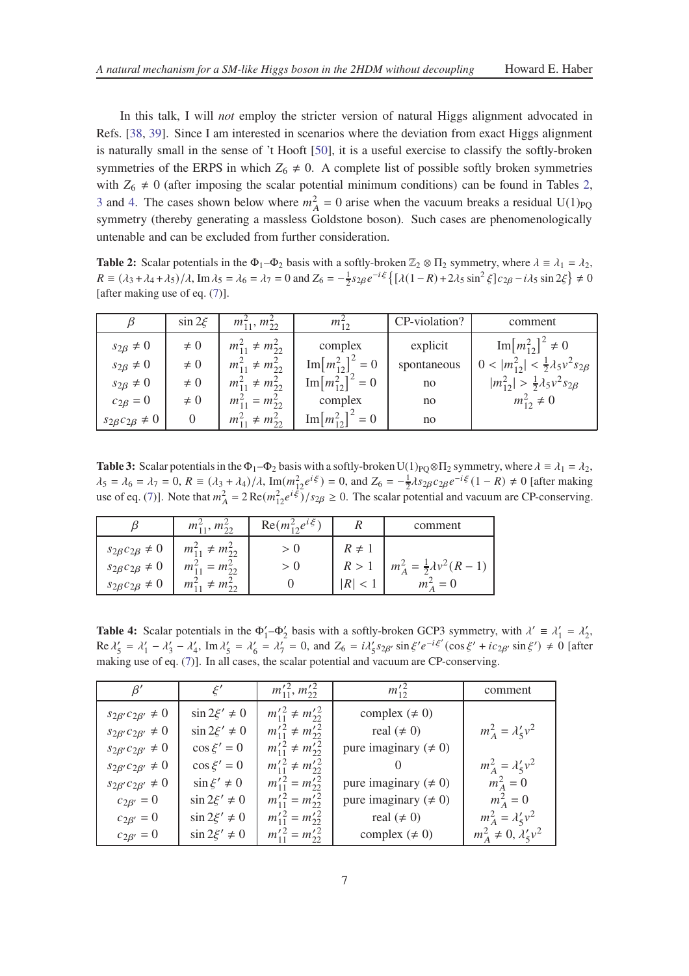In this talk, I will *not* employ the stricter version of natural Higgs alignment advocated in Refs. [\[38](#page-12-9), [39](#page-12-10)]. Since I am interested in scenarios where the deviation from exact Higgs alignment is naturally small in the sense of 't Hooft [\[50\]](#page-13-6), it is a useful exercise to classify the softly-broken symmetries of the ERPS in which  $Z_6 \neq 0$ . A complete list of possible softly broken symmetries with  $Z_6 \neq 0$  (after imposing the scalar potential minimum conditions) can be found in Tables [2,](#page-6-0) [3](#page-6-1) and [4.](#page-6-2) The cases shown below where  $m_A^2 = 0$  arise when the vacuum breaks a residual U(1)<sub>PQ</sub> symmetry (thereby generating a massless Goldstone boson). Such cases are phenomenologically untenable and can be excluded from further consideration.

<span id="page-6-0"></span>**Table 2:** Scalar potentials in the  $\Phi_1 - \Phi_2$  basis with a softly-broken  $\mathbb{Z}_2 \otimes \Pi_2$  symmetry, where  $\lambda \equiv \lambda_1 = \lambda_2$ ,  $R \equiv (\lambda_3 + \lambda_4 + \lambda_5)/\lambda$ , Im  $\lambda_5 = \lambda_6 = \lambda_7 = 0$  and  $Z_6 = -\frac{1}{2}s_{2\beta}e^{-i\xi} \{ [\lambda(1 - R) + 2\lambda_5 \sin^2 \xi] c_{2\beta} - i\lambda_5 \sin 2\xi \} \neq 0$ [after making use of eq. [\(7\)](#page-3-1)].

| ß                            | $\sin 2\xi$ | $m_{11}^2, m_{22}^2$     | $m_{12}^2$                  | CP-violation? | comment                                                |
|------------------------------|-------------|--------------------------|-----------------------------|---------------|--------------------------------------------------------|
| $s_{2\beta} \neq 0$          | $\neq 0$    | $m_{11}^2 \neq m_{22}^2$ | complex                     | explicit      | $\text{Im}[m_{12}^2]^2 \neq 0$                         |
| $s_{2\beta} \neq 0$          | $\neq 0$    | $m_{11}^2 \neq m_{22}^2$ | $\text{Im}[m_{12}^2]^2 = 0$ | spontaneous   | $0 <  m_{12}^2  < \frac{1}{2}\lambda_5 v^2 s_{2\beta}$ |
| $s_{2\beta} \neq 0$          | $\neq 0$    | $m_{11}^2 \neq m_{22}^2$ | $\text{Im}[m_{12}^2]^2 = 0$ | no            | $ m_{12}^2  > \frac{1}{2}\lambda_5 v^2 s_{2\beta}$     |
| $c_{2\beta}=0$               | $\neq 0$    | $m_{11}^2 = m_{22}^2$    | complex                     | no            | $m_{12}^2 \neq 0$                                      |
| $s_{2\beta}c_{2\beta}\neq 0$ |             | $m_{11}^2 \neq m_{22}^2$ | $\text{Im}[m_{12}^2]^2 = 0$ | no            |                                                        |

<span id="page-6-1"></span>**Table 3:** Scalar potentials in the  $\Phi_1 - \Phi_2$  basis with a softly-broken U(1)<sub>PO</sub>⊗ $\Pi_2$  symmetry, where  $\lambda = \lambda_1 = \lambda_2$ ,  $\lambda_5 = \lambda_6 = \lambda_7 = 0$ ,  $R \equiv (\lambda_3 + \lambda_4)/\lambda$ ,  $\text{Im}(m_{12}^2 e^{i\xi}) = 0$ , and  $Z_6 = -\frac{1}{2}\lambda s_{2\beta} c_{2\beta} e^{-i\xi} (1 - R) \neq 0$  [after making use of eq. [\(7\)](#page-3-1)]. Note that  $m_A^2 = 2 \text{Re}(m_{12}^2 e^{i\xi})/s_{2\beta} \ge 0$ . The scalar potential and vacuum are CP-conserving.

|                              | $m_{11}^2, m_{22}^2$     | $\text{Re}(m_1^2, e^{i\xi})$ |            | comment                                |
|------------------------------|--------------------------|------------------------------|------------|----------------------------------------|
| $s_{2\beta}c_{2\beta}\neq 0$ | $m_{11}^2 \neq m_{22}^2$ |                              | $R \neq 1$ |                                        |
| $s_{2\beta}c_{2\beta}\neq 0$ | $m_{11}^2 = m_{22}^2$    | > 0                          | R>1        | $m_A^2 = \frac{1}{2}\lambda v^2 (R-1)$ |
| $s_{2\beta}c_{2\beta}\neq 0$ | $m_{11}^2 \neq m_{22}^2$ |                              |            | $m_{A}^{2}=0$                          |

<span id="page-6-2"></span>**Table 4:** Scalar potentials in the  $\Phi'_1 - \Phi'_2$  basis with a softly-broken GCP3 symmetry, with  $\lambda' \equiv \lambda'_1 = \lambda'_2$ ,  $\text{Re } \lambda'_5 = \lambda'_1 - \lambda'_3 - \lambda'_4$ ,  $\text{Im } \lambda'_5 = \lambda'_6 = \lambda'_7 = 0$ , and  $Z_6 = i\lambda'_5 s_{2\beta'} \sin \xi' e^{-i\xi'} (\cos \xi' + i c_{2\beta'} \sin \xi') \neq 0$  [after making use of eq. [\(7\)](#page-3-1)]. In all cases, the scalar potential and vacuum are CP-conserving.

| $\beta'$                       | $\xi'$              | $m_{11}^{\prime 2}, m_{22}^{\prime 2}$  | $m_{12}^{\prime 2}$         | comment                        |
|--------------------------------|---------------------|-----------------------------------------|-----------------------------|--------------------------------|
| $s_{2\beta'}c_{2\beta'}\neq 0$ | $\sin 2\xi' \neq 0$ | $m_{11}'^2 \neq m_{22}'^2$              | complex $(\neq 0)$          |                                |
| $s_{2\beta'}c_{2\beta'}\neq 0$ | $\sin 2\xi' \neq 0$ | $m_{11}'^2 \neq m_{22}'^2$              | real $(\neq 0)$             | $m_A^2 = \lambda_5' v^2$       |
| $s_{2\beta'}c_{2\beta'}\neq 0$ | $\cos \xi' = 0$     | $m_{11}'^2 \neq m_{22}'^2$              | pure imaginary ( $\neq 0$ ) |                                |
| $s_{2\beta'}c_{2\beta'}\neq 0$ | $\cos \xi' = 0$     | $m_{11}'^2 \neq m_{22}'^2$              |                             | $m_A^2 = \lambda_5' v^2$       |
| $s_{2\beta'}c_{2\beta'}\neq 0$ | $\sin \xi' \neq 0$  | $m_{11}^{\prime 2} = m_{22}^{\prime 2}$ | pure imaginary ( $\neq 0$ ) | $m_A^2 = 0$                    |
| $c_{2\beta'} = 0$              | $\sin 2\xi' \neq 0$ | $m_{11}^{\prime 2} = m_{22}^{\prime 2}$ | pure imaginary ( $\neq 0$ ) | $m_A^2 = 0$                    |
| $c_{2\beta'} = 0$              | $\sin 2\xi' \neq 0$ | $m_{11}^{\prime 2} = m_{22}^{\prime 2}$ | real $(\neq 0)$             | $m_A^2 = \lambda_5'v^2$        |
| $c_{2\beta'} = 0$              | $\sin 2\xi' \neq 0$ | $m_{11}^{\prime 2} = m_{22}^{\prime 2}$ | complex $(\neq 0)$          | $m_A^2 \neq 0, \lambda'_5 v^2$ |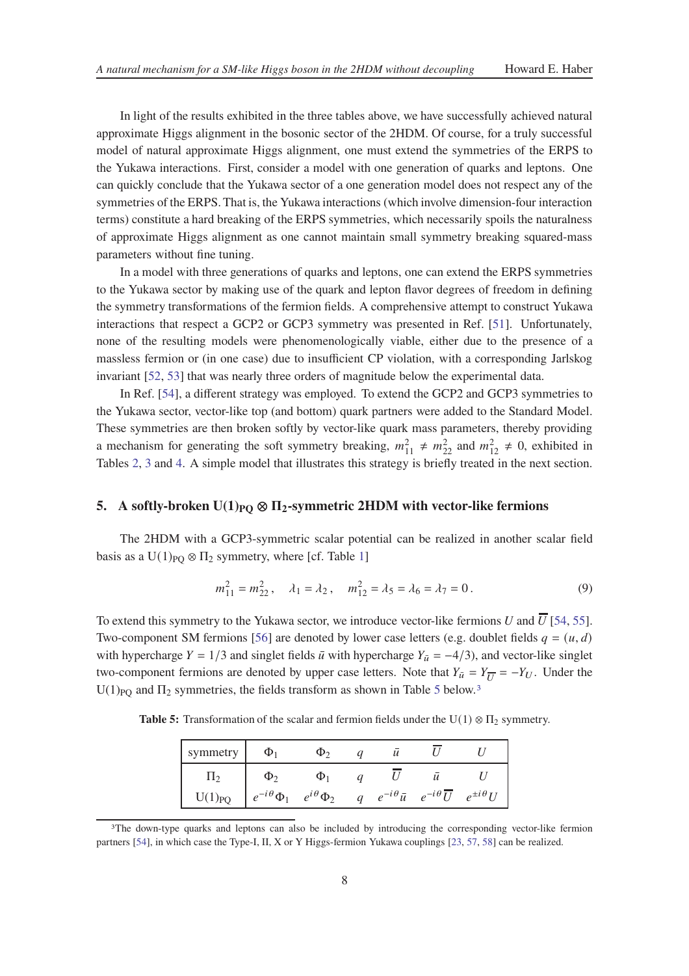In light of the results exhibited in the three tables above, we have successfully achieved natural approximate Higgs alignment in the bosonic sector of the 2HDM. Of course, for a truly successful model of natural approximate Higgs alignment, one must extend the symmetries of the ERPS to the Yukawa interactions. First, consider a model with one generation of quarks and leptons. One can quickly conclude that the Yukawa sector of a one generation model does not respect any of the symmetries of the ERPS. That is, the Yukawa interactions (which involve dimension-four interaction terms) constitute a hard breaking of the ERPS symmetries, which necessarily spoils the naturalness of approximate Higgs alignment as one cannot maintain small symmetry breaking squared-mass parameters without fine tuning.

In a model with three generations of quarks and leptons, one can extend the ERPS symmetries to the Yukawa sector by making use of the quark and lepton flavor degrees of freedom in defining the symmetry transformations of the fermion fields. A comprehensive attempt to construct Yukawa interactions that respect a GCP2 or GCP3 symmetry was presented in Ref. [\[51](#page-13-7)]. Unfortunately, none of the resulting models were phenomenologically viable, either due to the presence of a massless fermion or (in one case) due to insufficient CP violation, with a corresponding Jarlskog invariant [\[52,](#page-13-8) [53](#page-13-9)] that was nearly three orders of magnitude below the experimental data.

In Ref. [\[54\]](#page-13-10), a different strategy was employed. To extend the GCP2 and GCP3 symmetries to the Yukawa sector, vector-like top (and bottom) quark partners were added to the Standard Model. These symmetries are then broken softly by vector-like quark mass parameters, thereby providing a mechanism for generating the soft symmetry breaking,  $m_{11}^2 \neq m_{22}^2$  and  $m_{12}^2 \neq 0$ , exhibited in Tables [2,](#page-6-0) [3](#page-6-1) and [4.](#page-6-2) A simple model that illustrates this strategy is briefly treated in the next section.

## <span id="page-7-2"></span>**5.** A softly-broken  $U(1)_{PQ} \otimes \Pi_2$ -symmetric 2HDM with vector-like fermions

The 2HDM with a GCP3-symmetric scalar potential can be realized in another scalar field basis as a U(1)<sub>PO</sub>  $\otimes \Pi_2$  symmetry, where [cf. Table [1\]](#page-4-0)

$$
m_{11}^2 = m_{22}^2, \quad \lambda_1 = \lambda_2, \quad m_{12}^2 = \lambda_5 = \lambda_6 = \lambda_7 = 0. \tag{9}
$$

To extend this symmetry to the Yukawa sector, we introduce vector-like fermions U and  $\overline{U}$  [\[54](#page-13-10), [55](#page-13-11)]. Two-component SM fermions [\[56](#page-13-12)] are denoted by lower case letters (e.g. doublet fields  $q = (u, d)$ with hypercharge  $Y = 1/3$  and singlet fields  $\bar{u}$  with hypercharge  $Y_{\bar{u}} = -4/3$ ), and vector-like singlet two-component fermions are denoted by upper case letters. Note that  $Y_{\bar{u}} = Y_{\overline{U}} = -Y_U$ . Under the U(1)<sub>PQ</sub> and  $\Pi_2$  symmetries, the fields transform as shown in Table [5](#page-7-0) below.<sup>[3](#page-7-1)</sup>

<span id="page-7-0"></span>**Table 5:** Transformation of the scalar and fermion fields under the  $U(1) \otimes \Pi_2$  symmetry.

| symmetry    | $\Phi_1$             | Φ٠                  |                | u |                                                    |                      |
|-------------|----------------------|---------------------|----------------|---|----------------------------------------------------|----------------------|
| 112         | $\Phi_2$             |                     |                |   |                                                    |                      |
| $U(1)_{PQ}$ | $e^{-i\theta}\Phi_1$ | $e^{i\theta}\Phi_2$ | $\mathfrak{a}$ |   | $e^{-i\theta} \bar{u}$ $e^{-i\theta} \overline{U}$ | $e^{\pm i \theta} U$ |

<span id="page-7-1"></span><sup>&</sup>lt;sup>3</sup>The down-type quarks and leptons can also be included by introducing the corresponding vector-like fermion partners [\[54\]](#page-13-10), in which case the Type-I, II, X or Y Higgs-fermion Yukawa couplings [\[23,](#page-12-2) [57](#page-13-13), [58\]](#page-13-14) can be realized.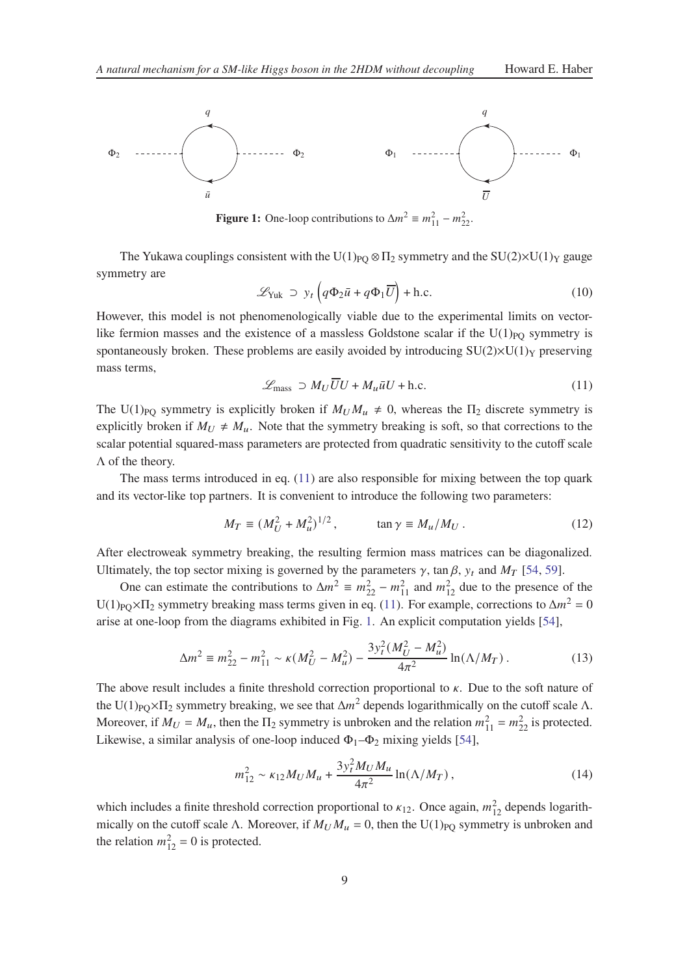<span id="page-8-1"></span>

**Figure 1:** One-loop contributions to  $\Delta m^2 \equiv m_{11}^2 - m_{22}^2$ .

The Yukawa couplings consistent with the U(1)<sub>PO</sub>  $\otimes \Pi_2$  symmetry and the SU(2)×U(1)<sub>Y</sub> gauge symmetry are

$$
\mathcal{L}_{\text{Yuk}} \supset y_t \left( q \Phi_2 \bar{u} + q \Phi_1 \overline{U} \right) + \text{h.c.}
$$
 (10)

However, this model is not phenomenologically viable due to the experimental limits on vectorlike fermion masses and the existence of a massless Goldstone scalar if the  $U(1)_{PQ}$  symmetry is spontaneously broken. These problems are easily avoided by introducing  $SU(2)\times U(1)_Y$  preserving mass terms,

<span id="page-8-0"></span>
$$
\mathcal{L}_{\text{mass}} \supset M_U \overline{U}U + M_u \bar{u}U + \text{h.c.} \tag{11}
$$

The U(1)<sub>PO</sub> symmetry is explicitly broken if  $M_U M_u \neq 0$ , whereas the  $\Pi_2$  discrete symmetry is explicitly broken if  $M_U \neq M_u$ . Note that the symmetry breaking is soft, so that corrections to the scalar potential squared-mass parameters are protected from quadratic sensitivity to the cutoff scale  $\Lambda$  of the theory.

The mass terms introduced in eq. [\(11\)](#page-8-0) are also responsible for mixing between the top quark and its vector-like top partners. It is convenient to introduce the following two parameters:

$$
M_T \equiv (M_U^2 + M_u^2)^{1/2}, \qquad \tan \gamma \equiv M_u / M_U. \tag{12}
$$

After electroweak symmetry breaking, the resulting fermion mass matrices can be diagonalized. Ultimately, the top sector mixing is governed by the parameters  $\gamma$ , tan  $\beta$ ,  $y_t$  and  $M_T$  [\[54](#page-13-10), [59\]](#page-13-15).

One can estimate the contributions to  $\Delta m^2 \equiv m_{22}^2 - m_{11}^2$  and  $m_{12}^2$  due to the presence of the U(1)<sub>PQ</sub>× $\Pi_2$  symmetry breaking mass terms given in eq. [\(11\)](#page-8-0). For example, corrections to  $\Delta m^2 = 0$ arise at one-loop from the diagrams exhibited in Fig. [1.](#page-8-1) An explicit computation yields [\[54\]](#page-13-10),

$$
\Delta m^2 \equiv m_{22}^2 - m_{11}^2 \sim \kappa (M_U^2 - M_u^2) - \frac{3y_t^2 (M_U^2 - M_u^2)}{4\pi^2} \ln(\Lambda/M_T) \,. \tag{13}
$$

The above result includes a finite threshold correction proportional to  $\kappa$ . Due to the soft nature of the U(1)<sub>PQ</sub>× $\Pi_2$  symmetry breaking, we see that  $\Delta m^2$  depends logarithmically on the cutoff scale  $\Lambda$ . Moreover, if  $M_U = M_u$ , then the  $\Pi_2$  symmetry is unbroken and the relation  $m_{11}^2 = m_{22}^2$  is protected. Likewise, a similar analysis of one-loop induced  $\Phi_1-\Phi_2$  mixing yields [\[54](#page-13-10)],

$$
m_{12}^2 \sim \kappa_{12} M_U M_u + \frac{3y_t^2 M_U M_u}{4\pi^2} \ln(\Lambda/M_T) \,, \tag{14}
$$

which includes a finite threshold correction proportional to  $\kappa_{12}$ . Once again,  $m_{12}^2$  depends logarithmically on the cutoff scale Λ. Moreover, if  $M_U M_u = 0$ , then the U(1)<sub>PQ</sub> symmetry is unbroken and the relation  $m_{12}^2 = 0$  is protected.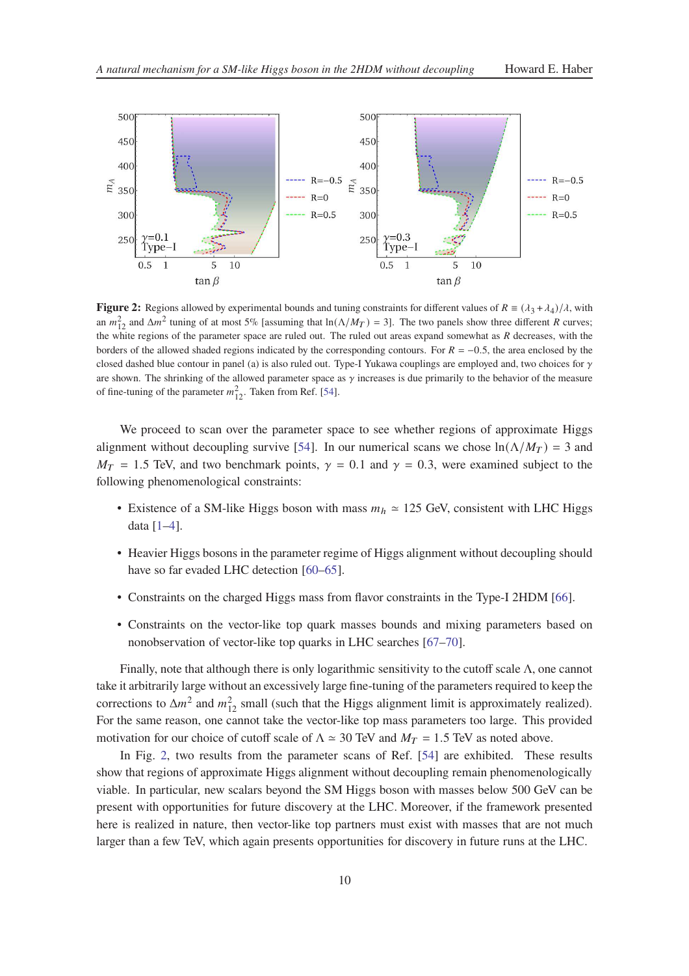<span id="page-9-0"></span>

**Figure 2:** Regions allowed by experimental bounds and tuning constraints for different values of  $R = (\lambda_3 + \lambda_4)/\lambda$ , with an  $m_{12}^2$  and  $\Delta m^2$  tuning of at most 5% [assuming that  $\ln(\Lambda/M_T) = 3$ ]. The two panels show three different R curves; the white regions of the parameter space are ruled out. The ruled out areas expand somewhat as  *decreases, with the* borders of the allowed shaded regions indicated by the corresponding contours. For  $R = -0.5$ , the area enclosed by the closed dashed blue contour in panel (a) is also ruled out. Type-I Yukawa couplings are employed and, two choices for  $\gamma$ are shown. The shrinking of the allowed parameter space as  $\gamma$  increases is due primarily to the behavior of the measure of fine-tuning of the parameter  $m_{12}^2$ . Taken from Ref. [\[54](#page-13-10)].

We proceed to scan over the parameter space to see whether regions of approximate Higgs alignment without decoupling survive [\[54](#page-13-10)]. In our numerical scans we chose  $ln(\Lambda/M_T) = 3$  and  $M_T = 1.5$  TeV, and two benchmark points,  $\gamma = 0.1$  and  $\gamma = 0.3$ , were examined subject to the following phenomenological constraints:

- Existence of a SM-like Higgs boson with mass  $m_h \approx 125$  GeV, consistent with LHC Higgs data [\[1](#page-11-0)[–4](#page-11-1)].
- Heavier Higgs bosons in the parameter regime of Higgs alignment without decoupling should have so far evaded LHC detection [\[60](#page-13-16)[–65](#page-14-0)].
- Constraints on the charged Higgs mass from flavor constraints in the Type-I 2HDM [\[66](#page-14-1)].
- Constraints on the vector-like top quark masses bounds and mixing parameters based on nonobservation of vector-like top quarks in LHC searches [\[67](#page-14-2)[–70\]](#page-14-3).

Finally, note that although there is only logarithmic sensitivity to the cutoff scale Λ, one cannot take it arbitrarily large without an excessively large fine-tuning of the parameters required to keep the corrections to  $\Delta m^2$  and  $m_{12}^2$  small (such that the Higgs alignment limit is approximately realized). For the same reason, one cannot take the vector-like top mass parameters too large. This provided motivation for our choice of cutoff scale of  $\Lambda \simeq 30$  TeV and  $M_T = 1.5$  TeV as noted above.

In Fig. [2,](#page-9-0) two results from the parameter scans of Ref. [\[54](#page-13-10)] are exhibited. These results show that regions of approximate Higgs alignment without decoupling remain phenomenologically viable. In particular, new scalars beyond the SM Higgs boson with masses below 500 GeV can be present with opportunities for future discovery at the LHC. Moreover, if the framework presented here is realized in nature, then vector-like top partners must exist with masses that are not much larger than a few TeV, which again presents opportunities for discovery in future runs at the LHC.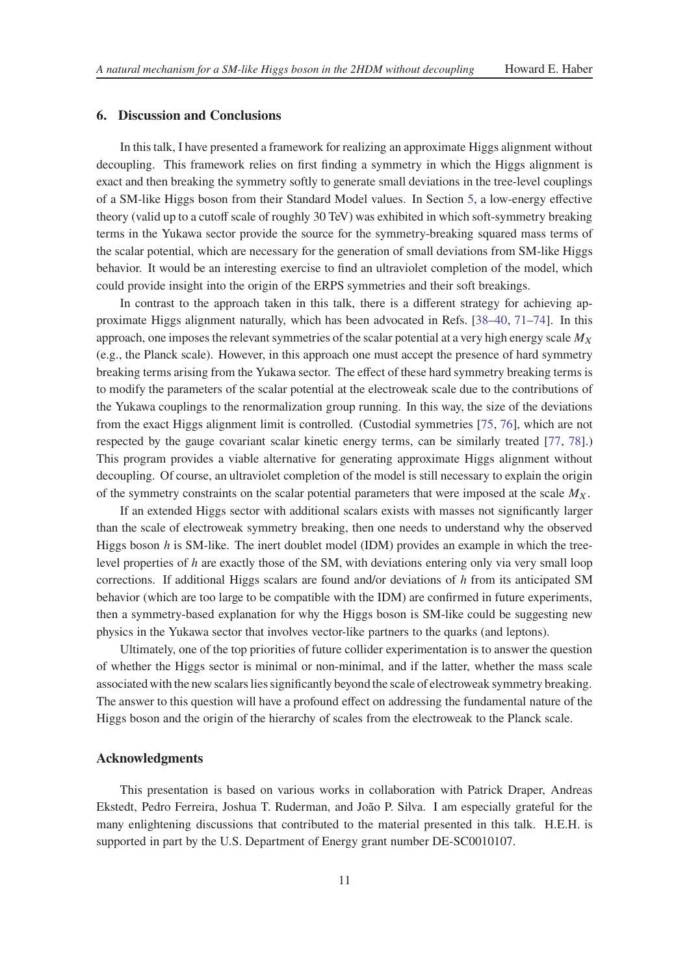## **6. Discussion and Conclusions**

In this talk, I have presented a framework for realizing an approximate Higgs alignment without decoupling. This framework relies on first finding a symmetry in which the Higgs alignment is exact and then breaking the symmetry softly to generate small deviations in the tree-level couplings of a SM-like Higgs boson from their Standard Model values. In Section [5,](#page-7-2) a low-energy effective theory (valid up to a cutoff scale of roughly 30 TeV) was exhibited in which soft-symmetry breaking terms in the Yukawa sector provide the source for the symmetry-breaking squared mass terms of the scalar potential, which are necessary for the generation of small deviations from SM-like Higgs behavior. It would be an interesting exercise to find an ultraviolet completion of the model, which could provide insight into the origin of the ERPS symmetries and their soft breakings.

In contrast to the approach taken in this talk, there is a different strategy for achieving approximate Higgs alignment naturally, which has been advocated in Refs. [\[38](#page-12-9)[–40](#page-12-11), [71](#page-14-4)[–74](#page-14-5)]. In this approach, one imposes the relevant symmetries of the scalar potential at a very high energy scale  $M_X$ (e.g., the Planck scale). However, in this approach one must accept the presence of hard symmetry breaking terms arising from the Yukawa sector. The effect of these hard symmetry breaking terms is to modify the parameters of the scalar potential at the electroweak scale due to the contributions of the Yukawa couplings to the renormalization group running. In this way, the size of the deviations from the exact Higgs alignment limit is controlled. (Custodial symmetries [\[75](#page-14-6), [76\]](#page-14-7), which are not respected by the gauge covariant scalar kinetic energy terms, can be similarly treated [\[77](#page-14-8), [78\]](#page-14-9).) This program provides a viable alternative for generating approximate Higgs alignment without decoupling. Of course, an ultraviolet completion of the model is still necessary to explain the origin of the symmetry constraints on the scalar potential parameters that were imposed at the scale  $M_X$ .

If an extended Higgs sector with additional scalars exists with masses not significantly larger than the scale of electroweak symmetry breaking, then one needs to understand why the observed Higgs boson h is SM-like. The inert doublet model (IDM) provides an example in which the treelevel properties of  $h$  are exactly those of the SM, with deviations entering only via very small loop corrections. If additional Higgs scalars are found and/or deviations of  $h$  from its anticipated SM behavior (which are too large to be compatible with the IDM) are confirmed in future experiments, then a symmetry-based explanation for why the Higgs boson is SM-like could be suggesting new physics in the Yukawa sector that involves vector-like partners to the quarks (and leptons).

Ultimately, one of the top priorities of future collider experimentation is to answer the question of whether the Higgs sector is minimal or non-minimal, and if the latter, whether the mass scale associated with the new scalars lies significantly beyond the scale of electroweak symmetry breaking. The answer to this question will have a profound effect on addressing the fundamental nature of the Higgs boson and the origin of the hierarchy of scales from the electroweak to the Planck scale.

## **Acknowledgments**

This presentation is based on various works in collaboration with Patrick Draper, Andreas Ekstedt, Pedro Ferreira, Joshua T. Ruderman, and João P. Silva. I am especially grateful for the many enlightening discussions that contributed to the material presented in this talk. H.E.H. is supported in part by the U.S. Department of Energy grant number DE-SC0010107.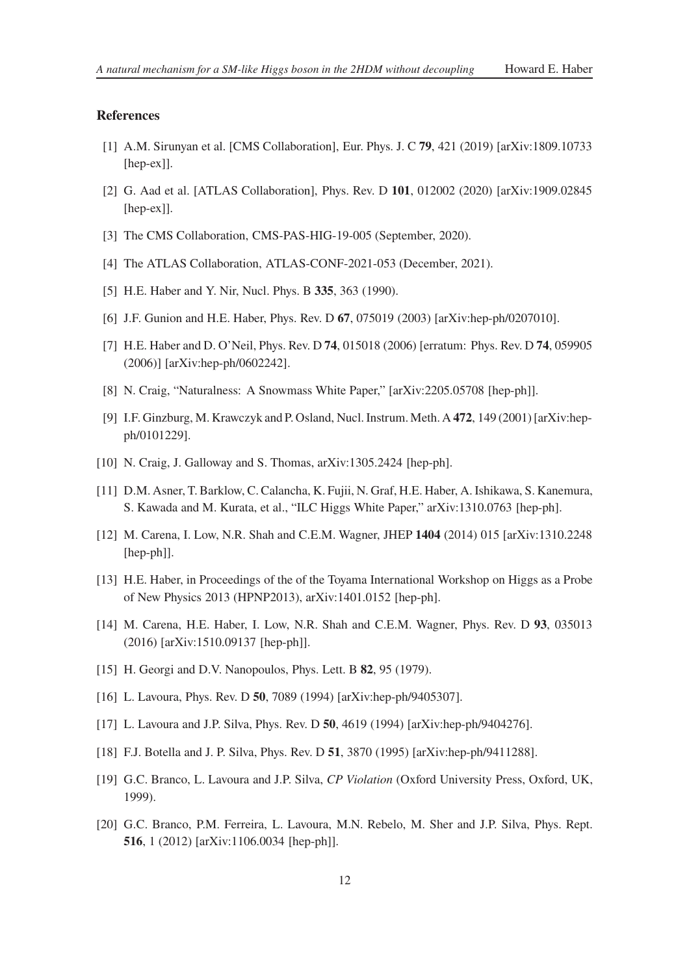## **References**

- <span id="page-11-0"></span>[1] A.M. Sirunyan et al. [CMS Collaboration], Eur. Phys. J. C **79**, 421 (2019) [arXiv:1809.10733 [hep-ex]].
- [2] G. Aad et al. [ATLAS Collaboration], Phys. Rev. D **101**, 012002 (2020) [arXiv:1909.02845 [hep-ex]].
- [3] The CMS Collaboration, CMS-PAS-HIG-19-005 (September, 2020).
- <span id="page-11-1"></span>[4] The ATLAS Collaboration, ATLAS-CONF-2021-053 (December, 2021).
- <span id="page-11-2"></span>[5] H.E. Haber and Y. Nir, Nucl. Phys. B **335**, 363 (1990).
- <span id="page-11-4"></span>[6] J.F. Gunion and H.E. Haber, Phys. Rev. D **67**, 075019 (2003) [arXiv:hep-ph/0207010].
- <span id="page-11-3"></span>[7] H.E. Haber and D. O'Neil, Phys. Rev. D **74**, 015018 (2006) [erratum: Phys. Rev. D **74**, 059905 (2006)] [arXiv:hep-ph/0602242].
- <span id="page-11-8"></span>[8] N. Craig, "Naturalness: A Snowmass White Paper," [arXiv:2205.05708 [hep-ph]].
- <span id="page-11-5"></span>[9] I.F. Ginzburg, M. Krawczyk and P. Osland, Nucl. Instrum. Meth. A **472**, 149 (2001) [arXiv:hepph/0101229].
- <span id="page-11-6"></span>[10] N. Craig, J. Galloway and S. Thomas, arXiv:1305.2424 [hep-ph].
- [11] D.M. Asner, T. Barklow, C. Calancha, K. Fujii, N. Graf, H.E. Haber, A. Ishikawa, S. Kanemura, S. Kawada and M. Kurata, et al., "ILC Higgs White Paper," arXiv:1310.0763 [hep-ph].
- [12] M. Carena, I. Low, N.R. Shah and C.E.M. Wagner, JHEP **1404** (2014) 015 [arXiv:1310.2248 [hep-ph]].
- [13] H.E. Haber, in Proceedings of the of the Toyama International Workshop on Higgs as a Probe of New Physics 2013 (HPNP2013), arXiv:1401.0152 [hep-ph].
- <span id="page-11-7"></span>[14] M. Carena, H.E. Haber, I. Low, N.R. Shah and C.E.M. Wagner, Phys. Rev. D **93**, 035013 (2016) [arXiv:1510.09137 [hep-ph]].
- <span id="page-11-9"></span>[15] H. Georgi and D.V. Nanopoulos, Phys. Lett. B **82**, 95 (1979).
- [16] L. Lavoura, Phys. Rev. D **50**, 7089 (1994) [arXiv:hep-ph/9405307].
- [17] L. Lavoura and J.P. Silva, Phys. Rev. D **50**, 4619 (1994) [arXiv:hep-ph/9404276].
- [18] F.J. Botella and J. P. Silva, Phys. Rev. D **51**, 3870 (1995) [arXiv:hep-ph/9411288].
- <span id="page-11-10"></span>[19] G.C. Branco, L. Lavoura and J.P. Silva, *CP Violation* (Oxford University Press, Oxford, UK, 1999).
- <span id="page-11-11"></span>[20] G.C. Branco, P.M. Ferreira, L. Lavoura, M.N. Rebelo, M. Sher and J.P. Silva, Phys. Rept. **516**, 1 (2012) [arXiv:1106.0034 [hep-ph]].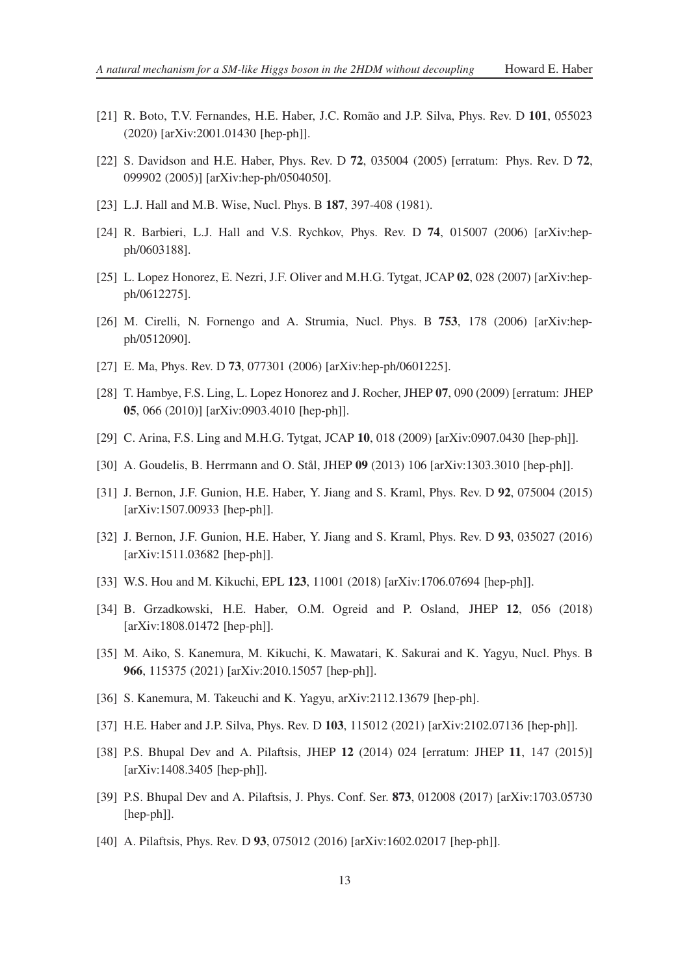- <span id="page-12-0"></span>[21] R. Boto, T.V. Fernandes, H.E. Haber, J.C. Romão and J.P. Silva, Phys. Rev. D **101**, 055023 (2020) [arXiv:2001.01430 [hep-ph]].
- <span id="page-12-1"></span>[22] S. Davidson and H.E. Haber, Phys. Rev. D **72**, 035004 (2005) [erratum: Phys. Rev. D **72**, 099902 (2005)] [arXiv:hep-ph/0504050].
- <span id="page-12-2"></span>[23] L.J. Hall and M.B. Wise, Nucl. Phys. B **187**, 397-408 (1981).
- <span id="page-12-3"></span>[24] R. Barbieri, L.J. Hall and V.S. Rychkov, Phys. Rev. D **74**, 015007 (2006) [arXiv:hepph/0603188].
- <span id="page-12-4"></span>[25] L. Lopez Honorez, E. Nezri, J.F. Oliver and M.H.G. Tytgat, JCAP **02**, 028 (2007) [arXiv:hepph/0612275].
- [26] M. Cirelli, N. Fornengo and A. Strumia, Nucl. Phys. B **753**, 178 (2006) [arXiv:hepph/0512090].
- [27] E. Ma, Phys. Rev. D **73**, 077301 (2006) [arXiv:hep-ph/0601225].
- [28] T. Hambye, F.S. Ling, L. Lopez Honorez and J. Rocher, JHEP **07**, 090 (2009) [erratum: JHEP **05**, 066 (2010)] [arXiv:0903.4010 [hep-ph]].
- [29] C. Arina, F.S. Ling and M.H.G. Tytgat, JCAP **10**, 018 (2009) [arXiv:0907.0430 [hep-ph]].
- <span id="page-12-5"></span>[30] A. Goudelis, B. Herrmann and O. Stål, JHEP **09** (2013) 106 [arXiv:1303.3010 [hep-ph]].
- <span id="page-12-6"></span>[31] J. Bernon, J.F. Gunion, H.E. Haber, Y. Jiang and S. Kraml, Phys. Rev. D **92**, 075004 (2015) [arXiv:1507.00933 [hep-ph]].
- [32] J. Bernon, J.F. Gunion, H.E. Haber, Y. Jiang and S. Kraml, Phys. Rev. D **93**, 035027 (2016) [arXiv:1511.03682 [hep-ph]].
- [33] W.S. Hou and M. Kikuchi, EPL **123**, 11001 (2018) [arXiv:1706.07694 [hep-ph]].
- [34] B. Grzadkowski, H.E. Haber, O.M. Ogreid and P. Osland, JHEP **12**, 056 (2018) [arXiv:1808.01472 [hep-ph]].
- [35] M. Aiko, S. Kanemura, M. Kikuchi, K. Mawatari, K. Sakurai and K. Yagyu, Nucl. Phys. B **966**, 115375 (2021) [arXiv:2010.15057 [hep-ph]].
- <span id="page-12-7"></span>[36] S. Kanemura, M. Takeuchi and K. Yagyu, arXiv:2112.13679 [hep-ph].
- <span id="page-12-8"></span>[37] H.E. Haber and J.P. Silva, Phys. Rev. D **103**, 115012 (2021) [arXiv:2102.07136 [hep-ph]].
- <span id="page-12-9"></span>[38] P.S. Bhupal Dev and A. Pilaftsis, JHEP **12** (2014) 024 [erratum: JHEP **11**, 147 (2015)] [arXiv:1408.3405 [hep-ph]].
- <span id="page-12-10"></span>[39] P.S. Bhupal Dev and A. Pilaftsis, J. Phys. Conf. Ser. **873**, 012008 (2017) [arXiv:1703.05730 [hep-ph]].
- <span id="page-12-11"></span>[40] A. Pilaftsis, Phys. Rev. D 93, 075012 (2016) [arXiv:1602.02017 [hep-ph]].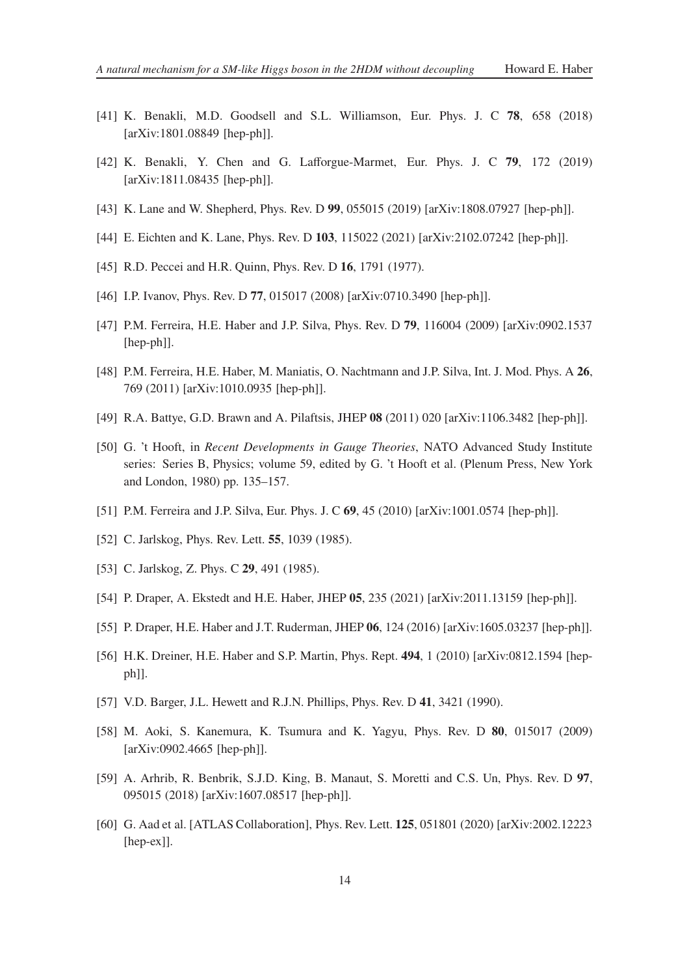- [41] K. Benakli, M.D. Goodsell and S.L. Williamson, Eur. Phys. J. C **78**, 658 (2018) [arXiv:1801.08849 [hep-ph]].
- [42] K. Benakli, Y. Chen and G. Lafforgue-Marmet, Eur. Phys. J. C **79**, 172 (2019) [arXiv:1811.08435 [hep-ph]].
- [43] K. Lane and W. Shepherd, Phys. Rev. D **99**, 055015 (2019) [arXiv:1808.07927 [hep-ph]].
- <span id="page-13-0"></span>[44] E. Eichten and K. Lane, Phys. Rev. D **103**, 115022 (2021) [arXiv:2102.07242 [hep-ph]].
- <span id="page-13-1"></span>[45] R.D. Peccei and H.R. Quinn, Phys. Rev. D **16**, 1791 (1977).
- <span id="page-13-2"></span>[46] I.P. Ivanov, Phys. Rev. D **77**, 015017 (2008) [arXiv:0710.3490 [hep-ph]].
- <span id="page-13-4"></span>[47] P.M. Ferreira, H.E. Haber and J.P. Silva, Phys. Rev. D **79**, 116004 (2009) [arXiv:0902.1537 [hep-ph]].
- <span id="page-13-5"></span>[48] P.M. Ferreira, H.E. Haber, M. Maniatis, O. Nachtmann and J.P. Silva, Int. J. Mod. Phys. A **26**, 769 (2011) [arXiv:1010.0935 [hep-ph]].
- <span id="page-13-3"></span>[49] R.A. Battye, G.D. Brawn and A. Pilaftsis, JHEP **08** (2011) 020 [arXiv:1106.3482 [hep-ph]].
- <span id="page-13-6"></span>[50] G. 't Hooft, in *Recent Developments in Gauge Theories*, NATO Advanced Study Institute series: Series B, Physics; volume 59, edited by G. 't Hooft et al. (Plenum Press, New York and London, 1980) pp. 135–157.
- <span id="page-13-7"></span>[51] P.M. Ferreira and J.P. Silva, Eur. Phys. J. C **69**, 45 (2010) [arXiv:1001.0574 [hep-ph]].
- <span id="page-13-8"></span>[52] C. Jarlskog, Phys. Rev. Lett. **55**, 1039 (1985).
- <span id="page-13-9"></span>[53] C. Jarlskog, Z. Phys. C **29**, 491 (1985).
- <span id="page-13-10"></span>[54] P. Draper, A. Ekstedt and H.E. Haber, JHEP **05**, 235 (2021) [arXiv:2011.13159 [hep-ph]].
- <span id="page-13-11"></span>[55] P. Draper, H.E. Haber and J.T. Ruderman, JHEP **06**, 124 (2016) [arXiv:1605.03237 [hep-ph]].
- <span id="page-13-12"></span>[56] H.K. Dreiner, H.E. Haber and S.P. Martin, Phys. Rept. **494**, 1 (2010) [arXiv:0812.1594 [hepph]].
- <span id="page-13-13"></span>[57] V.D. Barger, J.L. Hewett and R.J.N. Phillips, Phys. Rev. D **41**, 3421 (1990).
- <span id="page-13-14"></span>[58] M. Aoki, S. Kanemura, K. Tsumura and K. Yagyu, Phys. Rev. D **80**, 015017 (2009) [arXiv:0902.4665 [hep-ph]].
- <span id="page-13-15"></span>[59] A. Arhrib, R. Benbrik, S.J.D. King, B. Manaut, S. Moretti and C.S. Un, Phys. Rev. D **97**, 095015 (2018) [arXiv:1607.08517 [hep-ph]].
- <span id="page-13-16"></span>[60] G. Aad et al. [ATLAS Collaboration], Phys. Rev. Lett. **125**, 051801 (2020) [arXiv:2002.12223 [hep-ex]].